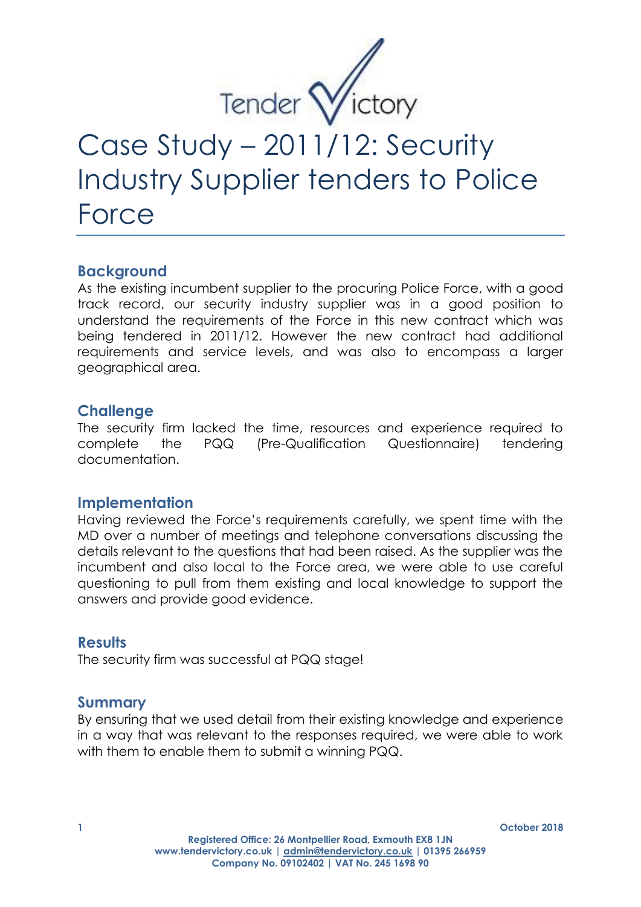

# Case Study – 2011/12: Security Industry Supplier tenders to Police Force

## **Background**

As the existing incumbent supplier to the procuring Police Force, with a good track record, our security industry supplier was in a good position to understand the requirements of the Force in this new contract which was being tendered in 2011/12. However the new contract had additional requirements and service levels, and was also to encompass a larger geographical area.

### **Challenge**

The security firm lacked the time, resources and experience required to complete the PQQ (Pre-Qualification Questionnaire) tendering documentation.

### **Implementation**

Having reviewed the Force's requirements carefully, we spent time with the MD over a number of meetings and telephone conversations discussing the details relevant to the questions that had been raised. As the supplier was the incumbent and also local to the Force area, we were able to use careful questioning to pull from them existing and local knowledge to support the answers and provide good evidence.

### **Results**

The security firm was successful at PQQ stage!

### **Summary**

By ensuring that we used detail from their existing knowledge and experience in a way that was relevant to the responses required, we were able to work with them to enable them to submit a winning PQQ.